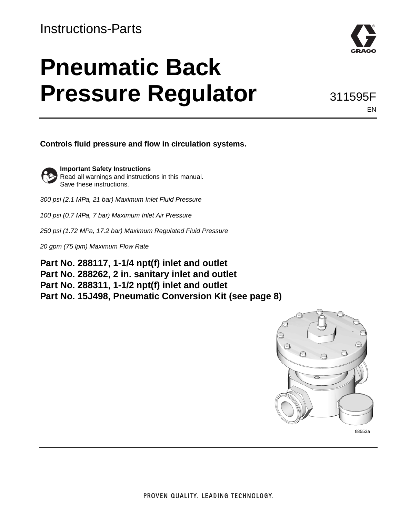### Instructions-Parts

# **Pneumatic Back Pressure Regulator**



311595F EN

**Controls fluid pressure and flow in circulation systems.**



**Important Safety Instructions** Read all warnings and instructions in this manual. Save these instructions.

*300 psi (2.1 MPa, 21 bar) Maximum Inlet Fluid Pressure*

*100 psi (0.7 MPa, 7 bar) Maximum Inlet Air Pressure*

*250 psi (1.72 MPa, 17.2 bar) Maximum Regulated Fluid Pressure*

*20 gpm (75 lpm) Maximum Flow Rate*

**Part No. 288117, 1-1/4 npt(f) inlet and outlet Part No. 288262, 2 in. sanitary inlet and outlet Part No. 288311, 1-1/2 npt(f) inlet and outlet Part No. 15J498, Pneumatic Conversion Kit (see page [8\)](#page-7-0)**

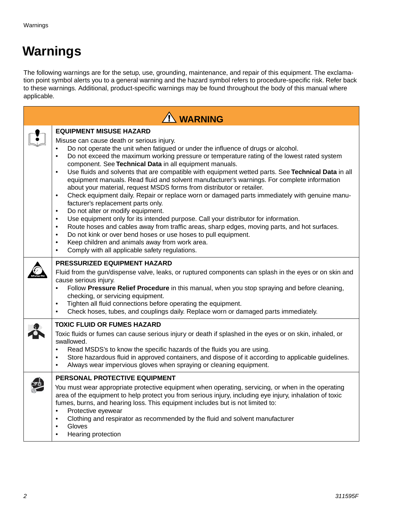## **Warnings**

The following warnings are for the setup, use, grounding, maintenance, and repair of this equipment. The exclamation point symbol alerts you to a general warning and the hazard symbol refers to procedure-specific risk. Refer back to these warnings. Additional, product-specific warnings may be found throughout the body of this manual where applicable.

| <b>1 WARNING</b>                                                                                                                                                                                                                                                                                                                                                                                                                                                                                                                                                                                                                                                                                                                                                                                                                                                                                                                                                                                                                                                                                                                                                                                                                                                            |  |  |  |
|-----------------------------------------------------------------------------------------------------------------------------------------------------------------------------------------------------------------------------------------------------------------------------------------------------------------------------------------------------------------------------------------------------------------------------------------------------------------------------------------------------------------------------------------------------------------------------------------------------------------------------------------------------------------------------------------------------------------------------------------------------------------------------------------------------------------------------------------------------------------------------------------------------------------------------------------------------------------------------------------------------------------------------------------------------------------------------------------------------------------------------------------------------------------------------------------------------------------------------------------------------------------------------|--|--|--|
| <b>EQUIPMENT MISUSE HAZARD</b><br>Misuse can cause death or serious injury.<br>Do not operate the unit when fatigued or under the influence of drugs or alcohol.<br>$\bullet$<br>Do not exceed the maximum working pressure or temperature rating of the lowest rated system<br>$\bullet$<br>component. See Technical Data in all equipment manuals.<br>Use fluids and solvents that are compatible with equipment wetted parts. See Technical Data in all<br>$\bullet$<br>equipment manuals. Read fluid and solvent manufacturer's warnings. For complete information<br>about your material, request MSDS forms from distributor or retailer.<br>Check equipment daily. Repair or replace worn or damaged parts immediately with genuine manu-<br>$\bullet$<br>facturer's replacement parts only.<br>Do not alter or modify equipment.<br>$\bullet$<br>Use equipment only for its intended purpose. Call your distributor for information.<br>$\bullet$<br>Route hoses and cables away from traffic areas, sharp edges, moving parts, and hot surfaces.<br>٠<br>Do not kink or over bend hoses or use hoses to pull equipment.<br>$\bullet$<br>Keep children and animals away from work area.<br>$\bullet$<br>Comply with all applicable safety regulations.<br>$\bullet$ |  |  |  |
| PRESSURIZED EQUIPMENT HAZARD<br>Fluid from the gun/dispense valve, leaks, or ruptured components can splash in the eyes or on skin and<br>cause serious injury.<br>Follow Pressure Relief Procedure in this manual, when you stop spraying and before cleaning,<br>$\bullet$<br>checking, or servicing equipment.<br>Tighten all fluid connections before operating the equipment.<br>$\bullet$<br>Check hoses, tubes, and couplings daily. Replace worn or damaged parts immediately.<br>$\bullet$                                                                                                                                                                                                                                                                                                                                                                                                                                                                                                                                                                                                                                                                                                                                                                         |  |  |  |
| <b>TOXIC FLUID OR FUMES HAZARD</b><br>Toxic fluids or fumes can cause serious injury or death if splashed in the eyes or on skin, inhaled, or<br>swallowed.<br>Read MSDS's to know the specific hazards of the fluids you are using.<br>$\bullet$<br>Store hazardous fluid in approved containers, and dispose of it according to applicable guidelines.<br>$\bullet$<br>Always wear impervious gloves when spraying or cleaning equipment.<br>$\bullet$                                                                                                                                                                                                                                                                                                                                                                                                                                                                                                                                                                                                                                                                                                                                                                                                                    |  |  |  |
| PERSONAL PROTECTIVE EQUIPMENT<br>You must wear appropriate protective equipment when operating, servicing, or when in the operating<br>area of the equipment to help protect you from serious injury, including eye injury, inhalation of toxic<br>fumes, burns, and hearing loss. This equipment includes but is not limited to:<br>Protective eyewear<br>$\bullet$<br>Clothing and respirator as recommended by the fluid and solvent manufacturer<br>$\bullet$<br>Gloves<br>$\bullet$<br>Hearing protection<br>$\bullet$                                                                                                                                                                                                                                                                                                                                                                                                                                                                                                                                                                                                                                                                                                                                                 |  |  |  |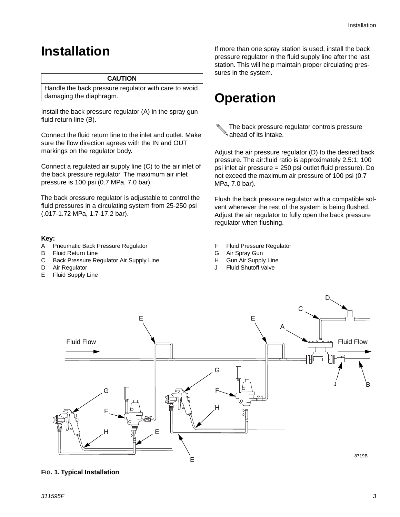### <span id="page-2-0"></span>**Installation**

#### **CAUTION**

Handle the back pressure regulator with care to avoid damaging the diaphragm.

Install the back pressure regulator (A) in the spray gun fluid return line (B).

Connect the fluid return line to the inlet and outlet. Make sure the flow direction agrees with the IN and OUT markings on the regulator body.

Connect a regulated air supply line (C) to the air inlet of the back pressure regulator. The maximum air inlet pressure is 100 psi (0.7 MPa, 7.0 bar).

The back pressure regulator is adjustable to control the fluid pressures in a circulating system from 25-250 psi (.017-1.72 MPa, 1.7-17.2 bar).

#### **Key:**

- A Pneumatic Back Pressure Regulator
- B Fluid Return Line
- C Back Pressure Regulator Air Supply Line
- D Air Regulator
- E Fluid Supply Line

If more than one spray station is used, install the back pressure regulator in the fluid supply line after the last station. This will help maintain proper circulating pressures in the system.

### <span id="page-2-1"></span>**Operation**

The back pressure regulator controls pressure ahead of its intake.

Adjust the air pressure regulator (D) to the desired back pressure. The air:fluid ratio is approximately 2.5:1; 100 psi inlet air pressure = 250 psi outlet fluid pressure). Do not exceed the maximum air pressure of 100 psi (0.7 MPa, 7.0 bar).

Flush the back pressure regulator with a compatible solvent whenever the rest of the system is being flushed. Adjust the air regulator to fully open the back pressure regulator when flushing.

- F Fluid Pressure Regulator
- G Air Spray Gun
- H Gun Air Supply Line
- **Fluid Shutoff Valve**



#### **FIG. 1. Typical Installation**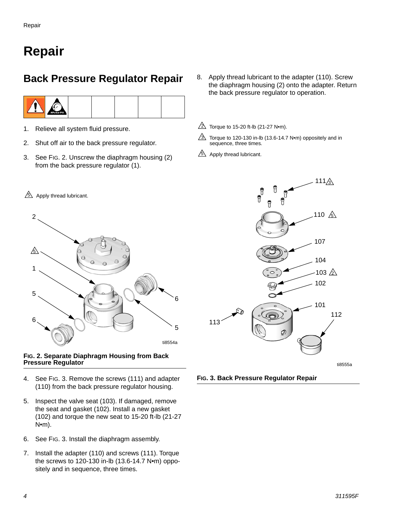### **Repair**

### **Back Pressure Regulator Repair**



- 1. Relieve all system fluid pressure.
- 2. Shut off air to the back pressure regulator.
- 3. See [FIG. 2](#page-3-0). Unscrew the diaphragm housing (2) from the back pressure regulator (1).
- 8. Apply thread lubricant to the adapter (110). Screw the diaphragm housing (2) onto the adapter. Return the back pressure regulator to operation.
- $2\text{ N}$  Torque to 15-20 ft-lb (21-27 N•m).
- Torque to 120-130 in-lb (13.6-14.7 N•m) oppositely and in sequence, three times.  $\mathbb{A}$
- $5\!\!\!\!\!\triangle$  Apply thread lubricant.



#### <span id="page-3-0"></span>**FIG. 2. Separate Diaphragm Housing from Back Pressure Regulator**

- 4. See [FIG. 3](#page-3-1). Remove the screws (111) and adapter (110) from the back pressure regulator housing.
- 5. Inspect the valve seat (103). If damaged, remove the seat and gasket (102). Install a new gasket (102) and torque the new seat to 15-20 ft-lb (21-27 N•m).
- 6. See [FIG. 3](#page-3-1). Install the diaphragm assembly.
- 7. Install the adapter (110) and screws (111). Torque the screws to 120-130 in-lb (13.6-14.7 N•m) oppositely and in sequence, three times.



<span id="page-3-1"></span>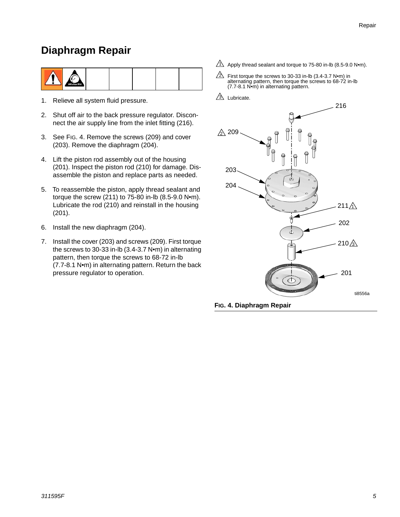### **Diaphragm Repair**

|--|

- 1. Relieve all system fluid pressure.
- 2. Shut off air to the back pressure regulator. Disconnect the air supply line from the inlet fitting (216).
- 3. See [FIG. 4](#page-4-0). Remove the screws (209) and cover (203). Remove the diaphragm (204).
- 4. Lift the piston rod assembly out of the housing (201). Inspect the piston rod (210) for damage. Disassemble the piston and replace parts as needed.
- 5. To reassemble the piston, apply thread sealant and torque the screw (211) to 75-80 in-lb (8.5-9.0 N•m). Lubricate the rod (210) and reinstall in the housing (201).
- 6. Install the new diaphragm (204).
- 7. Install the cover (203) and screws (209). First torque the screws to 30-33 in-lb (3.4-3.7 N•m) in alternating pattern, then torque the screws to 68-72 in-lb (7.7-8.1 N•m) in alternating pattern. Return the back pressure regulator to operation.
- $\Delta$  Apply thread sealant and torque to 75-80 in-lb (8.5-9.0 N•m).
- $\triangle$  First torque the screws to 30-33 in-lb (3.4-3.7 N•m) in alternating pattern, then torque the screws to 68-72 in-lb (7.7-8.1 N•m) in alternating pattern.
- $3\sqrt{ }$  Lubricate.



<span id="page-4-0"></span>**FIG. 4. Diaphragm Repair**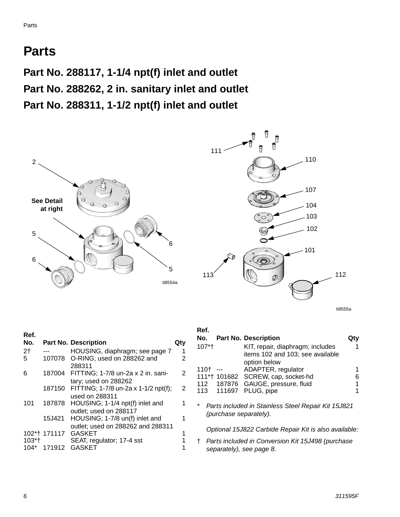### **Parts**

**Part No. 288117, 1-1/4 npt(f) inlet and outlet Part No. 288262, 2 in. sanitary inlet and outlet Part No. 288311, 1-1/2 npt(f) inlet and outlet**





ti8555a

| Ref.           |              |                                             |     |
|----------------|--------------|---------------------------------------------|-----|
| No.            |              | <b>Part No. Description</b>                 | QtV |
| 2 <sub>1</sub> |              | HOUSING, diaphragm; see page 7              | 1   |
| 5              | 107078       | O-RING; used on 288262 and                  | 2   |
|                |              | 288311                                      |     |
| 6              | 187004       | FITTING; 1-7/8 un-2a x 2 in. sani-          | 2   |
|                |              | tary; used on 288262                        |     |
|                |              | 187150 FITTING; 1-7/8 un-2a x 1-1/2 npt(f); | 2   |
|                |              | used on 288311                              |     |
| 101            | 187878       | HOUSING; 1-1/4 npt(f) inlet and             | 1   |
|                |              | outlet; used on 288117                      |     |
|                | 15J421       | HOUSING; 1-7/8 un(f) inlet and              |     |
|                |              | outlet; used on 288262 and 288311           |     |
|                | 102*† 171117 | <b>GASKET</b>                               | 1   |
| $103*$         |              | SEAT, regulator; 17-4 sst                   |     |
| 104*           | 171912       | GASKET                                      |     |
|                |              |                                             |     |

#### **Ref.**

|        | No. Part No. Description           |  |
|--------|------------------------------------|--|
| $107*$ | KIT, repair, diaphragm; includes   |  |
|        | items 102 and 103; see available   |  |
|        | option below                       |  |
| 110†   | ADAPTER, regulator                 |  |
|        | 111*† 101682 SCREW, cap, socket-hd |  |
|        | 112 187876 GAUGE, pressure, fluid  |  |
|        | 113 111697 PLUG, pipe              |  |
|        |                                    |  |

*\* Parts included in Stainless Steel Repair Kit 15J821 (purchase separately).*

*Optional 15J822 Carbide Repair Kit is also available:*

† *Parts included in Conversion Kit 15J498 (purchase separately), see page [8](#page-7-0).*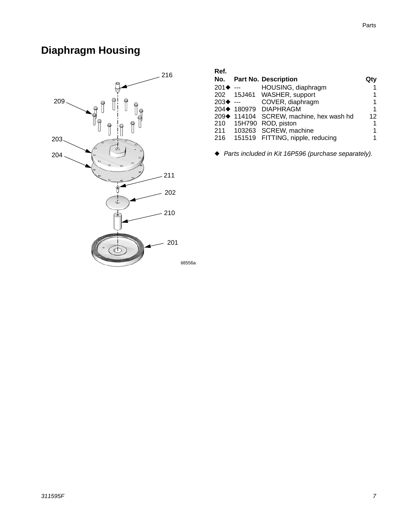### **Diaphragm Housing**



| Ret.                |             |                                  |     |
|---------------------|-------------|----------------------------------|-----|
| No.                 |             | <b>Part No. Description</b>      | Qtv |
| $201 \blacklozenge$ |             | HOUSING, diaphragm               |     |
| 202                 |             | 15J461 WASHER, support           |     |
| $203\bullet$        |             | COVER, diaphragm                 |     |
|                     |             | 204◆ 180979 DIAPHRAGM            | 1   |
|                     | 209♦ 114104 | SCREW, machine, hex wash hd      | 12  |
| 210                 | 15H790      | ROD, piston                      | 1   |
| 211                 |             | 103263 SCREW, machine            |     |
| 216                 |             | 151519 FITTING, nipple, reducing |     |
|                     |             |                                  |     |

◆ *Parts included in Kit 16P596 (purchase separately).*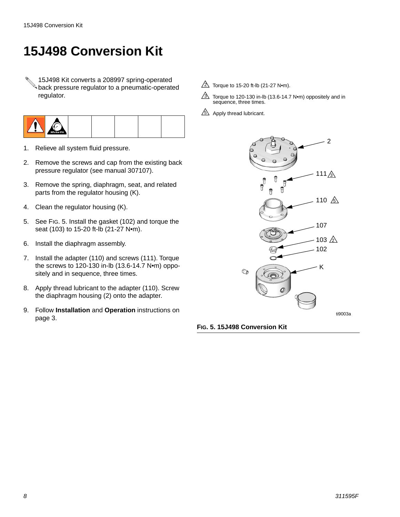### <span id="page-7-0"></span>**15J498 Conversion Kit**

15J498 Kit converts a 208997 spring-operated back pressure regulator to a pneumatic-operated regulator.



- 1. Relieve all system fluid pressure.
- 2. Remove the screws and cap from the existing back pressure regulator (see manual 307107).
- 3. Remove the spring, diaphragm, seat, and related parts from the regulator housing (K).
- 4. Clean the regulator housing (K).
- 5. See [FIG. 5](#page-7-1). Install the gasket (102) and torque the seat (103) to 15-20 ft-lb (21-27 N•m).
- 6. Install the diaphragm assembly.
- 7. Install the adapter (110) and screws (111). Torque the screws to 120-130 in-lb (13.6-14.7 N•m) oppositely and in sequence, three times.
- 8. Apply thread lubricant to the adapter (110). Screw the diaphragm housing (2) onto the adapter.
- 9. Follow **[Installation](#page-2-0)** and **[Operation](#page-2-1)** instructions on page [3.](#page-2-1)
- $2$  Torque to 15-20 ft-lb (21-27 N•m).
- $\overline{3}$  Torque to 120-130 in-lb (13.6-14.7 N•m) oppositely and in sequence, three times.
- $5\sqrt{2}$  Apply thread lubricant.



<span id="page-7-1"></span>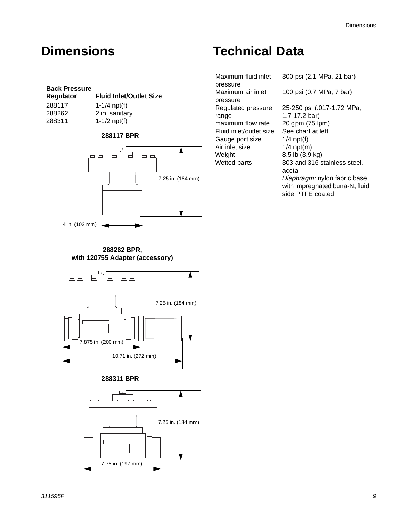#### **Back Pressure**

| Regulator | <b>Fluid Inlet/Outlet Size</b> |
|-----------|--------------------------------|
| 288117    | 1-1/4 $npt(f)$                 |
| 288262    | 2 in. sanitary                 |
| 288311    | 1-1/2 $npt(f)$                 |
|           |                                |

#### **288117 BPR**



**288262 BPR, with 120755 Adapter (accessory)**



**288311 BPR**



### **Dimensions Technical Data**

Maximum fluid inlet pressure Maximum air inlet pressure Regulated pressure range maximum flow rate 20 gpm (75 lpm) Fluid inlet/outlet size See chart at left Gauge port size 1/4 npt(f) Air inlet size 1/4 npt(m)<br>Weight 8.5 lb (3.9

300 psi (2.1 MPa, 21 bar) 100 psi (0.7 MPa, 7 bar) 25-250 psi (.017-1.72 MPa, 1.7-17.2 bar) 8.5 lb (3.9 kg) Wetted parts 303 and 316 stainless steel, acetal *Diaphragm:* nylon fabric base with impregnated buna-N, fluid side PTFE coated